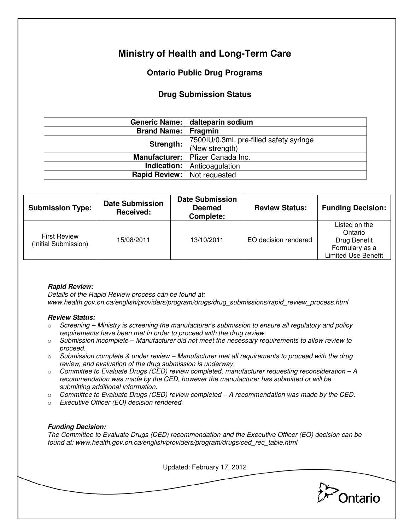# **Ministry of Health and Long-Term Care**

## **Ontario Public Drug Programs**

### **Drug Submission Status**

|                                    | Generic Name:   dalteparin sodium      |  |
|------------------------------------|----------------------------------------|--|
| <b>Brand Name: Fragmin</b>         |                                        |  |
| Strength:                          | 7500IU/0.3mL pre-filled safety syringe |  |
|                                    | (New strength)                         |  |
|                                    | Manufacturer:   Pfizer Canada Inc.     |  |
|                                    | <b>Indication:</b> Anticoagulation     |  |
| <b>Rapid Review:</b> Not requested |                                        |  |

| <b>Submission Type:</b>                     | <b>Date Submission</b><br>Received: | <b>Date Submission</b><br><b>Deemed</b><br>Complete: | <b>Review Status:</b> | <b>Funding Decision:</b>                                                          |
|---------------------------------------------|-------------------------------------|------------------------------------------------------|-----------------------|-----------------------------------------------------------------------------------|
| <b>First Review</b><br>(Initial Submission) | 15/08/2011                          | 13/10/2011                                           | EO decision rendered  | Listed on the<br>Ontario<br>Drug Benefit<br>Formulary as a<br>Limited Use Benefit |

#### **Rapid Review:**

Details of the Rapid Review process can be found at: www.health.gov.on.ca/english/providers/program/drugs/drug\_submissions/rapid\_review\_process.html

#### **Review Status:**

- $\circ$  Screening Ministry is screening the manufacturer's submission to ensure all regulatory and policy requirements have been met in order to proceed with the drug review.
- $\circ$  Submission incomplete Manufacturer did not meet the necessary requirements to allow review to proceed.
- $\circ$  Submission complete & under review Manufacturer met all requirements to proceed with the drug review, and evaluation of the drug submission is underway.
- $\circ$  Committee to Evaluate Drugs (CED) review completed, manufacturer requesting reconsideration A recommendation was made by the CED, however the manufacturer has submitted or will be submitting additional information.
- $\circ$  Committee to Evaluate Drugs (CED) review completed  $-A$  recommendation was made by the CED.
- o Executive Officer (EO) decision rendered.

#### **Funding Decision:**

The Committee to Evaluate Drugs (CED) recommendation and the Executive Officer (EO) decision can be found at: www.health.gov.on.ca/english/providers/program/drugs/ced\_rec\_table.html

Updated: February 17, 2012